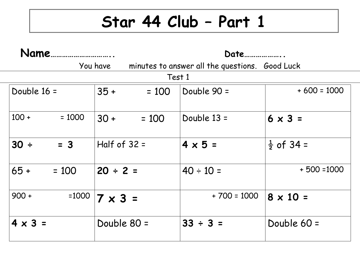## **Star 44 Club – Part 1**

| Name           |          |                | Date <u>music</u>                              |                |                       |  |  |  |
|----------------|----------|----------------|------------------------------------------------|----------------|-----------------------|--|--|--|
| You have       |          |                | minutes to answer all the questions. Good Luck |                |                       |  |  |  |
| Test 1         |          |                |                                                |                |                       |  |  |  |
| Double $16 =$  |          | $35 +$         | $= 100$                                        | Double 90 =    | $+600 = 1000$         |  |  |  |
| $100 +$        | $= 1000$ | $30 +$         | $= 100$                                        | Double 13 =    | $6 \times 3 =$        |  |  |  |
| 30 ÷           | $= 3$    | Half of $32 =$ |                                                | $4 \times 5 =$ | $\frac{1}{2}$ of 34 = |  |  |  |
| $65 +$         | $= 100$  | $20 \div 2 =$  |                                                | $40 \div 10 =$ | $+500=1000$           |  |  |  |
| $900 +$        | $=1000$  | $7 \times 3 =$ |                                                | $+700 = 1000$  | $8 \times 10 =$       |  |  |  |
| $4 \times 3 =$ |          | Double 80 =    |                                                | $33 \div 3 =$  | Double $60 =$         |  |  |  |